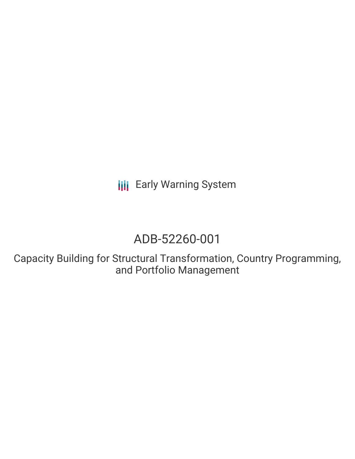**III** Early Warning System

# ADB-52260-001

Capacity Building for Structural Transformation, Country Programming, and Portfolio Management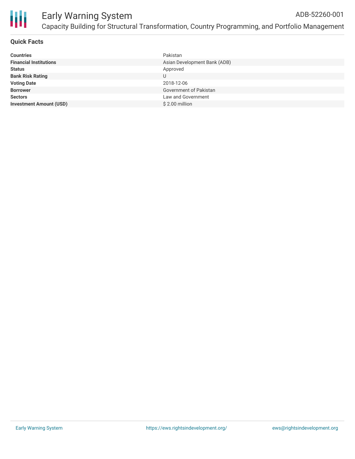

# **Quick Facts**

| <b>Countries</b>               | Pakistan                     |
|--------------------------------|------------------------------|
| <b>Financial Institutions</b>  | Asian Development Bank (ADB) |
| <b>Status</b>                  | Approved                     |
| <b>Bank Risk Rating</b>        | U                            |
| <b>Voting Date</b>             | 2018-12-06                   |
| <b>Borrower</b>                | Government of Pakistan       |
| <b>Sectors</b>                 | Law and Government           |
| <b>Investment Amount (USD)</b> | $$2.00$ million              |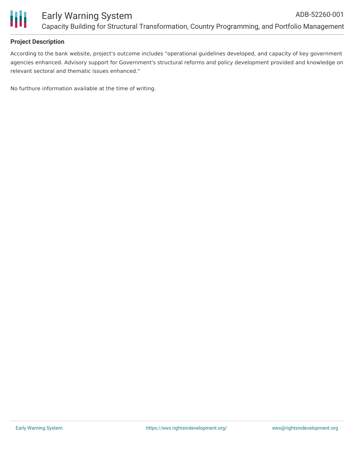

# **Project Description**

According to the bank website, project's outcome includes "operational guidelines developed, and capacity of key government agencies enhanced. Advisory support for Government's structural reforms and policy development provided and knowledge on relevant sectoral and thematic issues enhanced."

No furthure information available at the time of writing.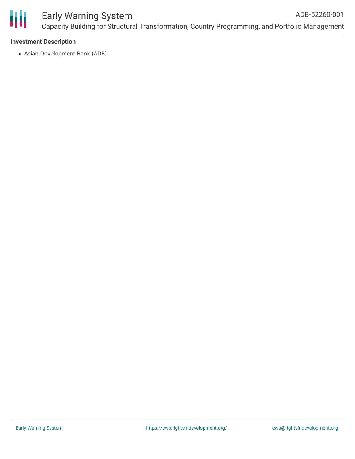

### Early Warning System Capacity Building for Structural Transformation, Country Programming, and Portfolio Management ADB-52260-001

# **Investment Description**

Asian Development Bank (ADB)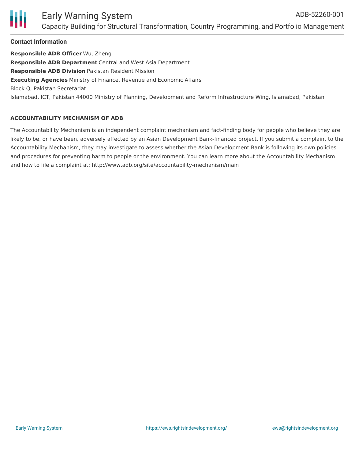#### Early Warning System Capacity Building for Structural Transformation, Country Programming, and Portfolio Management ADB-52260-001

# **Contact Information**

**Responsible ADB Officer** Wu, Zheng **Responsible ADB Department** Central and West Asia Department **Responsible ADB Division** Pakistan Resident Mission **Executing Agencies** Ministry of Finance, Revenue and Economic Affairs Block Q, Pakistan Secretariat Islamabad, ICT, Pakistan 44000 Ministry of Planning, Development and Reform Infrastructure Wing, Islamabad, Pakistan

# **ACCOUNTABILITY MECHANISM OF ADB**

The Accountability Mechanism is an independent complaint mechanism and fact-finding body for people who believe they are likely to be, or have been, adversely affected by an Asian Development Bank-financed project. If you submit a complaint to the Accountability Mechanism, they may investigate to assess whether the Asian Development Bank is following its own policies and procedures for preventing harm to people or the environment. You can learn more about the Accountability Mechanism and how to file a complaint at: http://www.adb.org/site/accountability-mechanism/main